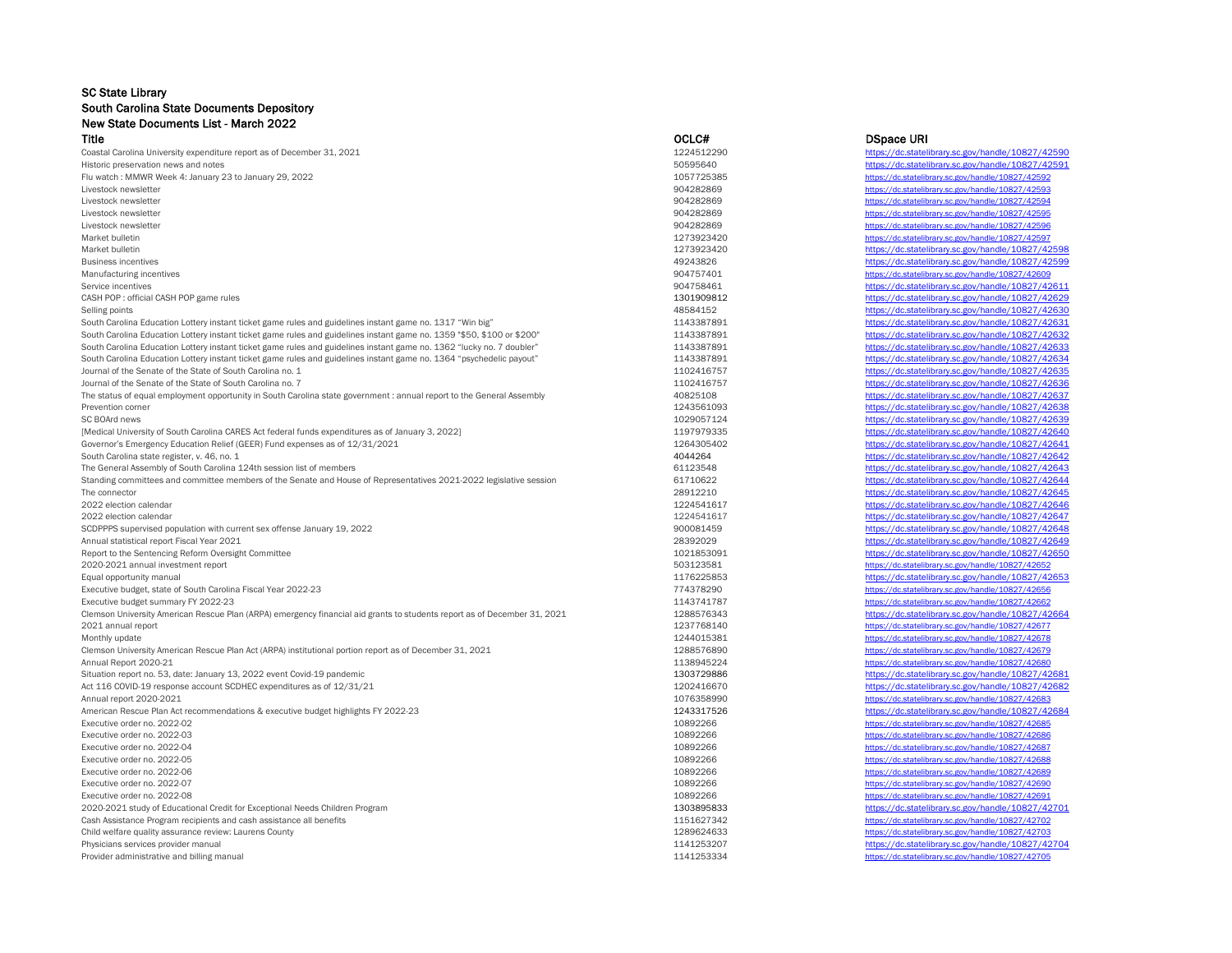## SC State Library South Carolina State Documents Depository New State Documents List - March 2022

Title OCLC# DSpace URI Coastal Carolina University expenditure report as of December 31, 2021 https://dc.statelibrary.sc.gov/handle/10827/42590 https://dc.statelibrary.sc.gov/handle/10827/42590 Historic preservation news and notes and notes the statelibrary.sc.gov/handle/10827/42591<br>
Historic preservation news and notes and notes of the statelibrary.sc.gov/handle/10827/42591<br>
Historic preservation news and notes Flu watch : MMWR Week 4: January 23 to January 29, 2022<br>Livestock newsletter served that the served of a state of the served of a state of the served of the served of Livestock newsletter <https://dc.statelibrary.sc.gov/handle/10827/42593><br>Althostock newsletter https://dc.statelibrary.sc.gov/handle/10827/42594<br>Mittos://dc.statelibrary.sc.gov/handle/10827/42594 Livestock newsletter https://<u>dc.statelibrary.sc.gov/handle/10827/4259</u>4<br>Biography of the statelibrary.sc.gov/handle/10827/42595<br>Mittps://dc.statelibrary.sc.gov/handle/10827/42595 Livestock newsletter <https://dc.statelibrary.sc.gov/handle/10827/42596>9 https://dc.statelibrary.sc.gov/handle/10827/42596 Market bulletin <https://dc.statelibrary.sc.gov/handle/10827/42597> Market bulletin https://dc.statelibrary.sc.gov/handle/10827/42598<br>Business incentives https://dc.statelibrary.sc.gov/handle/10827/42598<br>Business incentives https://dc.statelibrary.sc.gov/handle/10827/42599 Business incentives **https://dc.statelibrary.sc.gov/handle/10827/42599** https://dc.statelibrary.sc.gov/handle/10827/42599<br>Manufacturing incentives **https://dc.statelibrary.sc.gov/handle/10827/42609** https://dc.statelibrary Manufacturing incentives example/10827/42609 <https://dc.statelibrary.sc.gov/handle/10827/42609> Service incentives and the service incentives of the service incentives and the service incentives of the service incentives of the service incentives and the service incentives and the service incentives and the service i CASH POP: official CASH POP game rules <https://dc.statelibrary.sc.gov/handle/10827/42629> Selling points https://dc.statelibrary.sc.gov/handle/10827/42630<br>
South Carolina Education Lottery instant ticket game rules and guidelines instant game no 1317 "Win big" 1143387891 1143387891 https://dc statelibrary sc.go South Carolina Education Lottery instant ticket game rules and guidelines instant game no. 1317 "Win big" 1143387891 https://dc.statelibrary.sc.gov/handle/10827/42631 https://dc.statelibrary.sc.gov/handle/10827/42632<br>South South Carolina Education Lottery instant ticket game rules and guidelines instant game no. 1359 "\$50, \$100 or \$200" https://dc.statelibrary.sc.gov/handle/10827/42632<br>South Carolina Education Lottery instant ticket game rul South Carolina Education Lottery instant ticket game rules and guidelines instant game no. 1362 "lucky no. 7 doubler" 1143387891 South Carolina Education Lottery instant ticket game rules and guidelines instant game no. 1364 "psychedelic payout" 1143387891 https://dc.statelibrary.sc.gov/handle/10827/42634 Journal of the Senate of the State of South Carolina no. 1 1102416757 https://dc.statelibrary.sc.gov/handle/10827/42635<br>Journal of the Senate of the State of South Carolina no. 7 1102416757 https://dc.statelibrary.sc.gov/h Journal of the Senate of the State of South Carolina no. 7<br>The status of equal employment poportunity in South Carolina state government : annual report to the General Assembly and the State 10825108 The status of equal employment opportunity in South Carolina state government : annual report to the General Assembly  $40825108$  https://dc.statelibrary.sc.gov/handle/10827/42637 https://dc.statelibrary.sc.gov/handle/10827 Prevention corner https://dc.statelibrary.sc.gov/handle/10827/42638<br>SC BOArd news https://dc.statelibrary.sc.gov/handle/10827/42638<br>https://dc.statelibrary.sc.gov/handle/10827/42639 SC BOArd news https://dc.statelibrary.sc.gov/handle/10827/42639<br>
Medical University of South Carolina CARES Act federal funds expenditures as of January 3, 2022]<br>
Medical University of South Carolina CARES Act federal fund [Medical University of South Carolina CARES Act federal funds expenditures as of January 3, 2022]<br>
Governor's Emergency Education Relief (GEER) Fund expenses as of 12/31/2021 12022 and the state of the state of the state o Governor's Emergency Education Relief (GEER) Fund expenses as of 12/31/2021 https://dc.statelibrary.sc.gov/handle/10827/42641 https://dc.statelibrary.sc.gov/handle/10827/42641 https://dc.statelibrary.sc.gov/handle/10827/42 South Carolina state register, v. 46, no. 1<br>
South Carolina state register, v. 46, no. 1<br>
South Carolina of South Carolina 124th session list of members<br>
South Carolina of South Carolina 124th session list of members<br>
Sout The General Assembly of South Carolina 124th session list of members effectives of Representatives 2021-2022 legislative session and the session of the service of the Senate and House of Representatives 2021-2022 legislati Standing committees and committee members of the Senate and House of Representatives 2021-2022 legislative session 61710622 The connector https://dc.statelibrary.sc.gov/handle/10827/42645 2022 election calendar https://dc.statelibrary.sc.gov/handle/10827/42646 2022 election calendar <https://dc.statelibrary.sc.gov/handle/10827/42647><br>
2022 election calendar https://dc.statelibrary.sc.gov/handle/10827/42648<br>
2022 900081459 900081459 900081459 https://dc.statelibrary.sc.gov/handle/1 SCDPPPS supervised population with current sex offense January 19, 2022 https://dc.statelibrary.sc.gov/handle/10827/459 Annual statistical report Fiscal Year 2021 28392029 https://dc.statelibrary.sc.gov/handle/10827/42649<br>Report to the Sentencing Reform Oversight Committee 10827/42650 https://dc.statelibrary.sc.gov/handle/10827/42650<br>Report Report to the Sentencing Reform Oversight Committee 2020-2021 annual investment report the control of the statelibrary.sc.gov/handle/10827/42652<br>
2020-2021 annual investment report the statelibrary.sc.gov/handle/10827/42652<br>
2020-2021 annual investment report the statelibra Equal opportunity manual <https://dc.statelibrary.sc.gov/handle/10827/42653><br>
Fxecutive budget state of South Carolina Fiscal Year 2022-23 Executive budget, state of South Carolina Fiscal Year 2022-23 774378290 https://dc.statelibrary.sc.gov/handle/1082774378290 https://dc.statelibrary.sc.gov/handle/10827477878290 https://dc.statelibrary.pdf/2027-23 Executive budget summary FY 2022-23 1143741787 <https://dc.statelibrary.sc.gov/handle/10827/42662><br>Clemson University American Rescue Plan (ARPA) emergency financial aid grants to students report as of December 31, 2021 1288 Clemson University American Rescue Plan (ARPA) emergency financial aid grants to students report as of December 31, 2021 2021 annual report <https://dc.statelibrary.sc.gov/handle/10827/42677><br>
Monthly update https://dc.statelibrary.sc.gov/handle/10827/42678<br>
Monthly update https://dc.statelibrary.sc.gov/handle/10827/42678 Monthly update <https://dc.statelibrary.sc.gov/handle/10827/42678><br>Clemson University American Rescue Plan Act (ARPA) institutional portion report as of December 31, 2021 https://dc.statelibrary.sc.gov/handle/10827/42679<br>
Mu Clemson University American Rescue Plan Act (ARPA) institutional portion report as of December 31, 2021 1288576890 https://dc. Annual Report 2020-21 <https://dc.statelibrary.sc.gov/handle/10827/42680><br>
Situation report no. 53, date: January 13, 2022 event Covid-19 pandemic the covid-to panemic control of the covid-10827/42681 https://dc.statelibrary Situation report no. 53, date: January 13, 2022 event Covid-19 pandemic develops and the state of 12/31/21 and the state of 110327142681 and the state of 1303729886 https://dc.statelibrary.sc.gov/handle/10827/42682<br>
Act 11 Act 116 COVID-19 response account SCDHEC expenditures as of  $12/31/21$  and the state of the state of the state of the state of the state of the state of the state of the state of the state of the state of the state of the Annual report 2020-2021 <https://dc.statelibrary.sc.gov/handle/10827/42683><br>American Rescue Plan Act recommendations & executive budget highlights FY 2022-23 https://dc.statelibrary.sc.gov/handle/10827/42684 American Rescue Plan Act recommendations & executive budget highlights FY 2022-23 https://dc.statelibrary.sc.gov/handle/108217526 Executive order no. 2022-02 108927/42685 <https://dc.statelibrary.sc.gov/handle/10827/42685> Executive order no. 2022-03 <https://dc.statelibrary.sc.gov/handle/10827/42686> https://dc.statelibrary.sc.gov/handle/10827/42686<br>Executive order no. 2022-04 https://dc.statelibrary.sc.gov/handle/10827/42687 Executive order no. 2022-04 <https://dc.statelibrary.sc.gov/handle/10827/42687><br>
Executive order no. 2022-05 https://dc.statelibrary.sc.gov/handle/10827/42688<br>
Executive order no. 2022-05 https://dc.statelibrary.sc.gov/handl Executive order no. 2022-06 <https://dc.statelibrary.sc.gov/handle/10827/42689> https://dc.statelibrary.sc.gov/handle/10827/42689 Executive order no. 2022-07 <https://dc.statelibrary.sc.gov/handle/10827/42690><br>
10892266 https://dc.statelibrary.sc.gov/handle/10827/42690 Executive order no. 2022-08 <https://dc.statelibrary.sc.gov/handle/10827/42691><br>19920-2021 study of Educational Credit for Exceptional Needs Children Program and the study of Educational Credit for Exceptional Needs Children 2020-2021 study of Educational Credit for Exceptional Needs Children Program 13031 https://dc.statelibrary.sc.gov/handle/10827/42702<br>
2020-2021 study of Educationary.sc.gov/handle/10827/42702<br>
2020-2021 study of Educationa Cash Assistance Program recipients and cash assistance all benefits and benefits and benefits and benefits and benefits and the statelibrary of the statelibrary.sc.gov/handle/10827/42703<br>
Child welfare quality assurance re Child welfare quality assurance review: Laurens County 1289624633 Physicians services provider manual that the controller manual that the controller manual that the controller manual that the controller manual that the controller manual that the controller manual that the controller manu Provider administrative and billing manual <https://dc.statelibrary.sc.gov/handle/10827/42705>

<https://dc.statelibrary.sc.gov/handle/10827/42595> Executive order no. 2022-06 <https://dc.statelibrary.sc.gov/handle/10827/42688><br>
https://dc.statelibrary.sc.gov/handle/10827/42689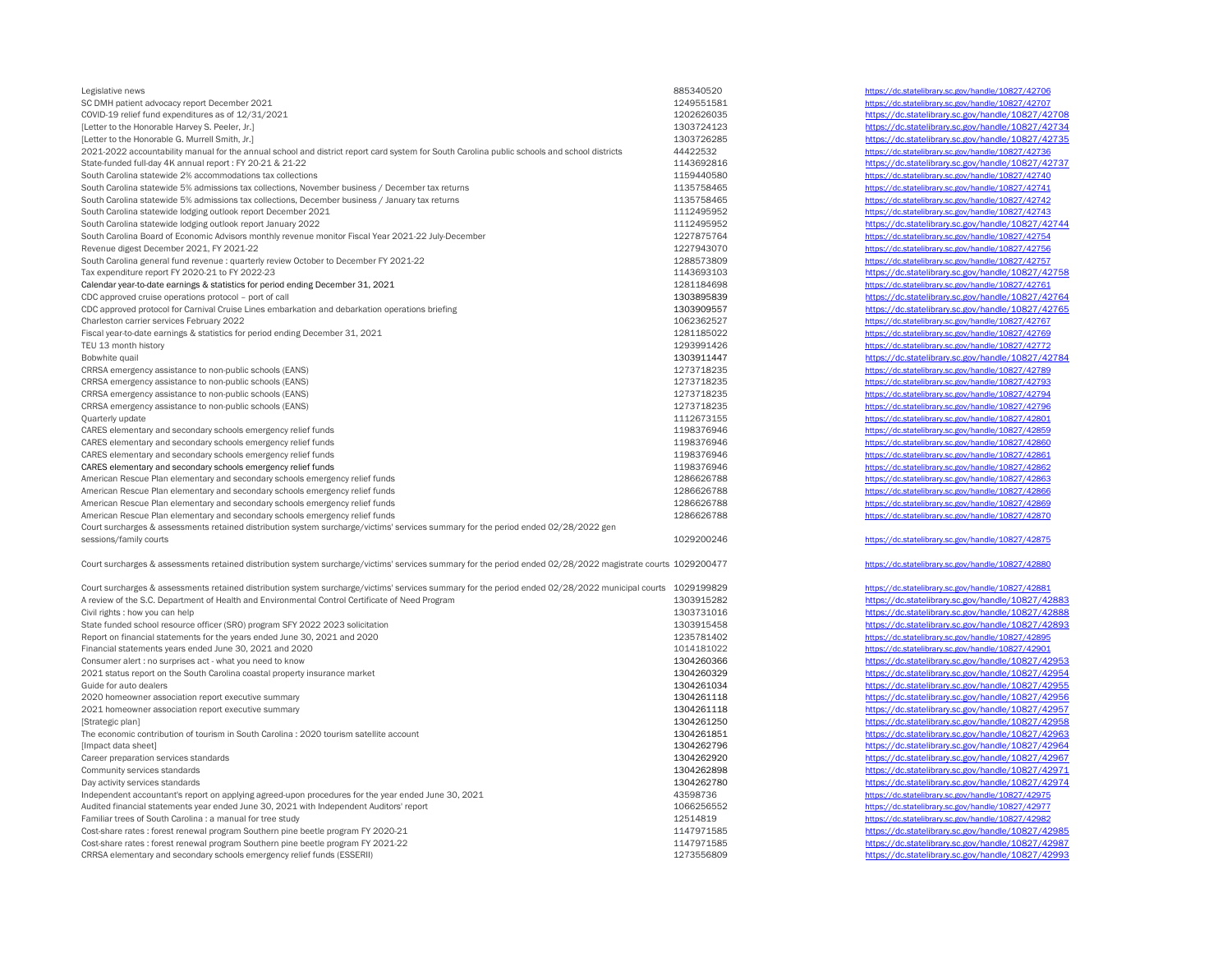| Legislative news                                                                                                                                             | 885340520  |
|--------------------------------------------------------------------------------------------------------------------------------------------------------------|------------|
| SC DMH patient advocacy report December 2021                                                                                                                 | 1249551581 |
| COVID-19 relief fund expenditures as of 12/31/2021                                                                                                           | 1202626035 |
| [Letter to the Honorable Harvey S. Peeler, Jr.]                                                                                                              | 1303724123 |
| [Letter to the Honorable G. Murrell Smith, Jr.]                                                                                                              | 1303726285 |
| 2021-2022 accountability manual for the annual school and district report card system for South Carolina public schools and school districts                 | 44422532   |
| State-funded full-day 4K annual report: FY 20-21 & 21-22                                                                                                     | 1143692816 |
| South Carolina statewide 2% accommodations tax collections                                                                                                   | 1159440580 |
| South Carolina statewide 5% admissions tax collections, November business / December tax returns                                                             | 1135758465 |
|                                                                                                                                                              |            |
| South Carolina statewide 5% admissions tax collections, December business / January tax returns                                                              | 1135758465 |
| South Carolina statewide lodging outlook report December 2021                                                                                                | 1112495952 |
| South Carolina statewide lodging outlook report January 2022                                                                                                 | 1112495952 |
| South Carolina Board of Economic Advisors monthly revenue monitor Fiscal Year 2021-22 July-December                                                          | 1227875764 |
| Revenue digest December 2021, FY 2021-22                                                                                                                     | 1227943070 |
| South Carolina general fund revenue : quarterly review October to December FY 2021-22                                                                        | 1288573809 |
| Tax expenditure report FY 2020-21 to FY 2022-23                                                                                                              | 1143693103 |
| Calendar year-to-date earnings & statistics for period ending December 31, 2021                                                                              | 1281184698 |
| CDC approved cruise operations protocol - port of call                                                                                                       | 1303895839 |
| CDC approved protocol for Carnival Cruise Lines embarkation and debarkation operations briefing                                                              | 1303909557 |
| Charleston carrier services February 2022                                                                                                                    | 1062362527 |
| Fiscal year-to-date earnings & statistics for period ending December 31, 2021                                                                                | 1281185022 |
|                                                                                                                                                              |            |
| TEU 13 month history                                                                                                                                         | 1293991426 |
| Bobwhite quail                                                                                                                                               | 1303911447 |
| CRRSA emergency assistance to non-public schools (EANS)                                                                                                      | 1273718235 |
| CRRSA emergency assistance to non-public schools (EANS)                                                                                                      | 1273718235 |
| CRRSA emergency assistance to non-public schools (EANS)                                                                                                      | 1273718235 |
| CRRSA emergency assistance to non-public schools (EANS)                                                                                                      | 1273718235 |
| Quarterly update                                                                                                                                             | 1112673155 |
| CARES elementary and secondary schools emergency relief funds                                                                                                | 1198376946 |
| CARES elementary and secondary schools emergency relief funds                                                                                                | 1198376946 |
| CARES elementary and secondary schools emergency relief funds                                                                                                | 1198376946 |
| CARES elementary and secondary schools emergency relief funds                                                                                                | 1198376946 |
| American Rescue Plan elementary and secondary schools emergency relief funds                                                                                 | 1286626788 |
|                                                                                                                                                              |            |
| American Rescue Plan elementary and secondary schools emergency relief funds                                                                                 | 1286626788 |
| American Rescue Plan elementary and secondary schools emergency relief funds                                                                                 | 1286626788 |
| American Rescue Plan elementary and secondary schools emergency relief funds                                                                                 | 1286626788 |
| Court surcharges & assessments retained distribution system surcharge/victims' services summary for the period ended 02/28/2022 gen                          |            |
| sessions/family courts                                                                                                                                       | 1029200246 |
| Court surcharges & assessments retained distribution system surcharge/victims' services summary for the period ended 02/28/2022 magistrate courts 1029200477 |            |
| Court surcharges & assessments retained distribution system surcharge/victims' services summary for the period ended 02/28/2022 municipal courts 1029199829  |            |
| A review of the S.C. Department of Health and Environmental Control Certificate of Need Program                                                              | 1303915282 |
| Civil rights : how you can help                                                                                                                              | 1303731016 |
| State funded school resource officer (SRO) program SFY 2022 2023 solicitation                                                                                | 1303915458 |
| Report on financial statements for the years ended June 30, 2021 and 2020                                                                                    | 1235781402 |
| Financial statements years ended June 30, 2021 and 2020                                                                                                      | 1014181022 |
| Consumer alert : no surprises act - what you need to know                                                                                                    | 1304260366 |
|                                                                                                                                                              |            |
| 2021 status report on the South Carolina coastal property insurance market                                                                                   | 1304260329 |
| Guide for auto dealers                                                                                                                                       | 1304261034 |
| 2020 homeowner association report executive summary                                                                                                          | 1304261118 |
| 2021 homeowner association report executive summary                                                                                                          | 1304261118 |
| [Strategic plan]                                                                                                                                             | 1304261250 |
| The economic contribution of tourism in South Carolina : 2020 tourism satellite account                                                                      | 1304261851 |
| [Impact data sheet]                                                                                                                                          | 1304262796 |
| Career preparation services standards                                                                                                                        | 1304262920 |
| Community services standards                                                                                                                                 | 1304262898 |
| Day activity services standards                                                                                                                              | 1304262780 |
| Independent accountant's report on applying agreed-upon procedures for the year ended June 30, 2021                                                          | 43598736   |
| Audited financial statements year ended June 30, 2021 with Independent Auditors' report                                                                      | 1066256552 |
| Familiar trees of South Carolina : a manual for tree study                                                                                                   | 12514819   |
| Cost-share rates : forest renewal program Southern pine beetle program FY 2020-21                                                                            | 1147971585 |
| Cost-share rates : forest renewal program Southern pine beetle program FY 2021-22                                                                            | 1147971585 |
| CRRSA elementary and secondary schools emergency relief funds (ESSERII)                                                                                      | 1273556809 |
|                                                                                                                                                              |            |

<https://dc.statelibrary.sc.gov/handle/10827/42706> <https://dc.statelibrary.sc.gov/handle/10827/42707> <https://dc.statelibrary.sc.gov/handle/10827/42708> <https://dc.statelibrary.sc.gov/handle/10827/42734> <https://dc.statelibrary.sc.gov/handle/10827/42735> <https://dc.statelibrary.sc.gov/handle/10827/42736> <https://dc.statelibrary.sc.gov/handle/10827/42737> <https://dc.statelibrary.sc.gov/handle/10827/42740> <https://dc.statelibrary.sc.gov/handle/10827/42741> <https://dc.statelibrary.sc.gov/handle/10827/42742> <https://dc.statelibrary.sc.gov/handle/10827/42743> <https://dc.statelibrary.sc.gov/handle/10827/42744> <https://dc.statelibrary.sc.gov/handle/10827/42754> <https://dc.statelibrary.sc.gov/handle/10827/42756> <https://dc.statelibrary.sc.gov/handle/10827/42757> <https://dc.statelibrary.sc.gov/handle/10827/42758> <https://dc.statelibrary.sc.gov/handle/10827/42761> <https://dc.statelibrary.sc.gov/handle/10827/42764> <https://dc.statelibrary.sc.gov/handle/10827/42765> <https://dc.statelibrary.sc.gov/handle/10827/42767> <https://dc.statelibrary.sc.gov/handle/10827/42769> <https://dc.statelibrary.sc.gov/handle/10827/42772> <https://dc.statelibrary.sc.gov/handle/10827/42784> <https://dc.statelibrary.sc.gov/handle/10827/42789> <https://dc.statelibrary.sc.gov/handle/10827/42793> <https://dc.statelibrary.sc.gov/handle/10827/42794> <https://dc.statelibrary.sc.gov/handle/10827/42796> <https://dc.statelibrary.sc.gov/handle/10827/42801> <https://dc.statelibrary.sc.gov/handle/10827/42859> <https://dc.statelibrary.sc.gov/handle/10827/42860> <https://dc.statelibrary.sc.gov/handle/10827/42861> <https://dc.statelibrary.sc.gov/handle/10827/42862> <https://dc.statelibrary.sc.gov/handle/10827/42863> <https://dc.statelibrary.sc.gov/handle/10827/42866> <https://dc.statelibrary.sc.gov/handle/10827/42869> <https://dc.statelibrary.sc.gov/handle/10827/42870> <https://dc.statelibrary.sc.gov/handle/10827/42875> <https://dc.statelibrary.sc.gov/handle/10827/42880> <https://dc.statelibrary.sc.gov/handle/10827/42881> <https://dc.statelibrary.sc.gov/handle/10827/42883> <https://dc.statelibrary.sc.gov/handle/10827/42888> <https://dc.statelibrary.sc.gov/handle/10827/42893> <https://dc.statelibrary.sc.gov/handle/10827/42895> <https://dc.statelibrary.sc.gov/handle/10827/42901> <https://dc.statelibrary.sc.gov/handle/10827/42953> <https://dc.statelibrary.sc.gov/handle/10827/42954> <https://dc.statelibrary.sc.gov/handle/10827/42955> <https://dc.statelibrary.sc.gov/handle/10827/42956> <https://dc.statelibrary.sc.gov/handle/10827/42957> <https://dc.statelibrary.sc.gov/handle/10827/42958> <https://dc.statelibrary.sc.gov/handle/10827/42963> <https://dc.statelibrary.sc.gov/handle/10827/42964> <https://dc.statelibrary.sc.gov/handle/10827/42967>

<https://dc.statelibrary.sc.gov/handle/10827/42971> <https://dc.statelibrary.sc.gov/handle/10827/42974> <https://dc.statelibrary.sc.gov/handle/10827/42975> <https://dc.statelibrary.sc.gov/handle/10827/42977> <https://dc.statelibrary.sc.gov/handle/10827/42982> <https://dc.statelibrary.sc.gov/handle/10827/42985> <https://dc.statelibrary.sc.gov/handle/10827/42987> <https://dc.statelibrary.sc.gov/handle/10827/42993>